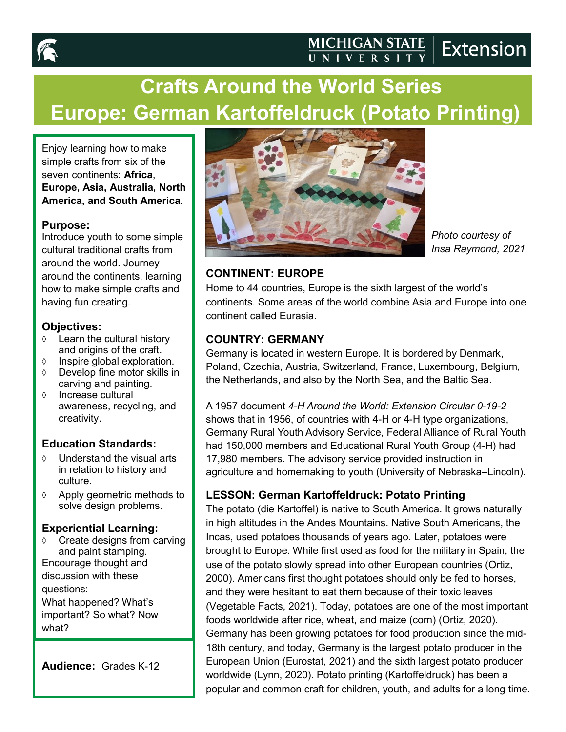

# **Crafts Around the World Series Europe: German Kartoffeldruck (Potato Printing)**

Enjoy learning how to make simple crafts from six of the seven continents: **Africa**, **Europe, Asia, Australia, North America, and South America.**

#### **Purpose:**

Introduce youth to some simple cultural traditional crafts from around the world. Journey around the continents, learning how to make simple crafts and having fun creating.

#### **Objectives:**

- $\Diamond$  Learn the cultural history and origins of the craft.
- $\Diamond$  Inspire global exploration.
- Develop fine motor skills in carving and painting.
- $\Diamond$  Increase cultural awareness, recycling, and creativity.

## **Education Standards:**

- Understand the visual arts in relation to history and culture.
- $\Diamond$  Apply geometric methods to solve design problems.

#### **Experiential Learning:**

 Create designs from carving and paint stamping. Encourage thought and discussion with these questions:

What happened? What's important? So what? Now what?

**Audience:** Grades K-12



*Photo courtesy of Insa Raymond, 2021* 

## **CONTINENT: EUROPE**

Home to 44 countries, Europe is the sixth largest of the world's continents. Some areas of the world combine Asia and Europe into one continent called Eurasia.

## **COUNTRY: GERMANY**

Germany is located in western Europe. It is bordered by Denmark, Poland, Czechia, Austria, Switzerland, France, Luxembourg, Belgium, the Netherlands, and also by the North Sea, and the Baltic Sea.

A 1957 document *4-H Around the World: Extension Circular 0-19-2* shows that in 1956, of countries with 4-H or 4-H type organizations, Germany Rural Youth Advisory Service, Federal Alliance of Rural Youth had 150,000 members and Educational Rural Youth Group (4-H) had 17,980 members. The advisory service provided instruction in agriculture and homemaking to youth (University of Nebraska–Lincoln).

# **LESSON: German Kartoffeldruck: Potato Printing**

The potato (die Kartoffel) is native to South America. It grows naturally in high altitudes in the Andes Mountains. Native South Americans, the Incas, used potatoes thousands of years ago. Later, potatoes were brought to Europe. While first used as food for the military in Spain, the use of the potato slowly spread into other European countries (Ortiz, 2000). Americans first thought potatoes should only be fed to horses, and they were hesitant to eat them because of their toxic leaves (Vegetable Facts, 2021). Today, potatoes are one of the most important foods worldwide after rice, wheat, and maize (corn) (Ortiz, 2020). Germany has been growing potatoes for food production since the mid-18th century, and today, Germany is the largest potato producer in the European Union (Eurostat, 2021) and the sixth largest potato producer worldwide (Lynn, 2020). Potato printing (Kartoffeldruck) has been a popular and common craft for children, youth, and adults for a long time.

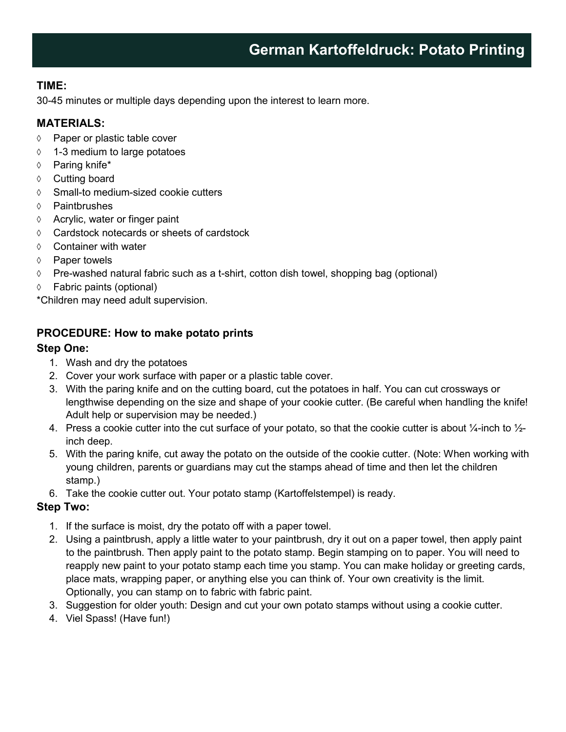## **TIME:**

30-45 minutes or multiple days depending upon the interest to learn more.

#### **MATERIALS:**

- ♦ Paper or plastic table cover
- 1-3 medium to large potatoes
- $\lozenge$  Paring knife\*
- ♦ Cutting board
- Small-to medium-sized cookie cutters
- Paintbrushes
- $\Diamond$  Acrylic, water or finger paint
- Cardstock notecards or sheets of cardstock
- $\Diamond$  Container with water
- $\Diamond$  Paper towels
- Pre-washed natural fabric such as a t-shirt, cotton dish towel, shopping bag (optional)
- Fabric paints (optional)

\*Children may need adult supervision.

## **PROCEDURE: How to make potato prints**

#### **Step One:**

- 1. Wash and dry the potatoes
- 2. Cover your work surface with paper or a plastic table cover.
- 3. With the paring knife and on the cutting board, cut the potatoes in half. You can cut crossways or lengthwise depending on the size and shape of your cookie cutter. (Be careful when handling the knife! Adult help or supervision may be needed.)
- 4. Press a cookie cutter into the cut surface of your potato, so that the cookie cutter is about  $\frac{1}{4}$ -inch to  $\frac{1}{2}$ inch deep.
- 5. With the paring knife, cut away the potato on the outside of the cookie cutter. (Note: When working with young children, parents or guardians may cut the stamps ahead of time and then let the children stamp.)
- 6. Take the cookie cutter out. Your potato stamp (Kartoffelstempel) is ready.

## **Step Two:**

- 1. If the surface is moist, dry the potato off with a paper towel.
- 2. Using a paintbrush, apply a little water to your paintbrush, dry it out on a paper towel, then apply paint to the paintbrush. Then apply paint to the potato stamp. Begin stamping on to paper. You will need to reapply new paint to your potato stamp each time you stamp. You can make holiday or greeting cards, place mats, wrapping paper, or anything else you can think of. Your own creativity is the limit. Optionally, you can stamp on to fabric with fabric paint.
- 3. Suggestion for older youth: Design and cut your own potato stamps without using a cookie cutter.
- 4. Viel Spass! (Have fun!)